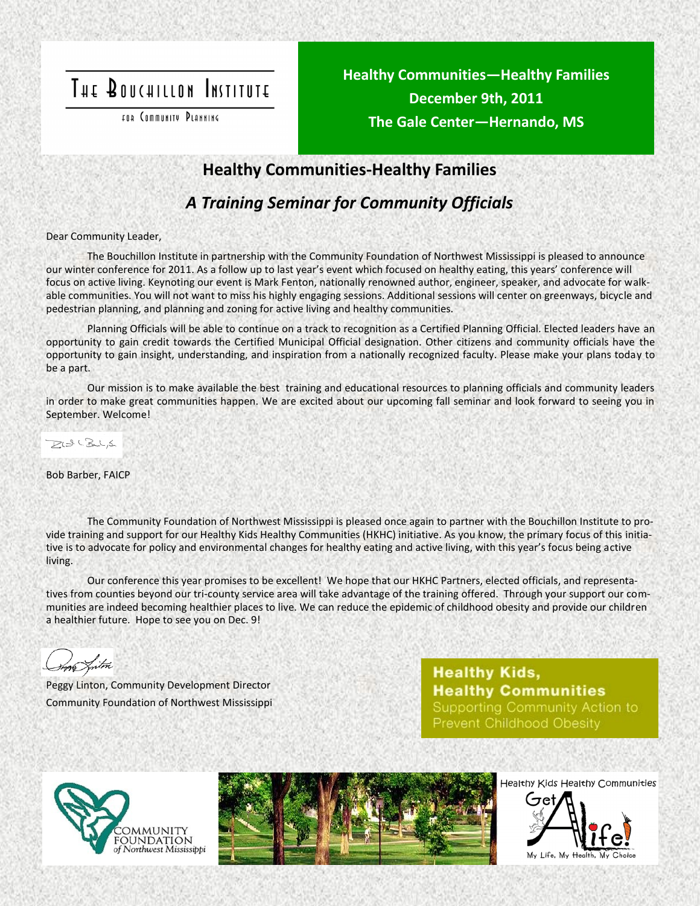**INA COMMUNITY PLANNING** 

**Healthy Communities—Healthy Families December 9th, 2011 The Gale Center—Hernando, MS**

### **Healthy Communities-Healthy Families**

### *A Training Seminar for Community Officials*

Dear Community Leader,

The Bouchillon Institute in partnership with the Community Foundation of Northwest Mississippi is pleased to announce our winter conference for 2011. As a follow up to last year's event which focused on healthy eating, this years' conference will focus on active living. Keynoting our event is Mark Fenton, nationally renowned author, engineer, speaker, and advocate for walkable communities. You will not want to miss his highly engaging sessions. Additional sessions will center on greenways, bicycle and pedestrian planning, and planning and zoning for active living and healthy communities.

Planning Officials will be able to continue on a track to recognition as a Certified Planning Official. Elected leaders have an opportunity to gain credit towards the Certified Municipal Official designation. Other citizens and community officials have the opportunity to gain insight, understanding, and inspiration from a nationally recognized faculty. Please make your plans today to be a part.

Our mission is to make available the best training and educational resources to planning officials and community leaders in order to make great communities happen. We are excited about our upcoming fall seminar and look forward to seeing you in September. Welcome!

 $R13.5$ 

Bob Barber, FAICP

The Community Foundation of Northwest Mississippi is pleased once again to partner with the Bouchillon Institute to provide training and support for our Healthy Kids Healthy Communities (HKHC) initiative. As you know, the primary focus of this initiative is to advocate for policy and environmental changes for healthy eating and active living, with this year's focus being active living.

Our conference this year promises to be excellent! We hope that our HKHC Partners, elected officials, and representatives from counties beyond our tri-county service area will take advantage of the training offered. Through your support our communities are indeed becoming healthier places to live. We can reduce the epidemic of childhood obesity and provide our children a healthier future. Hope to see you on Dec. 9!

f, tm

Peggy Linton, Community Development Director Community Foundation of Northwest Mississippi **Healthy Kids, Healthy Communities** Supporting Community Action to Prevent Childhood Obesity





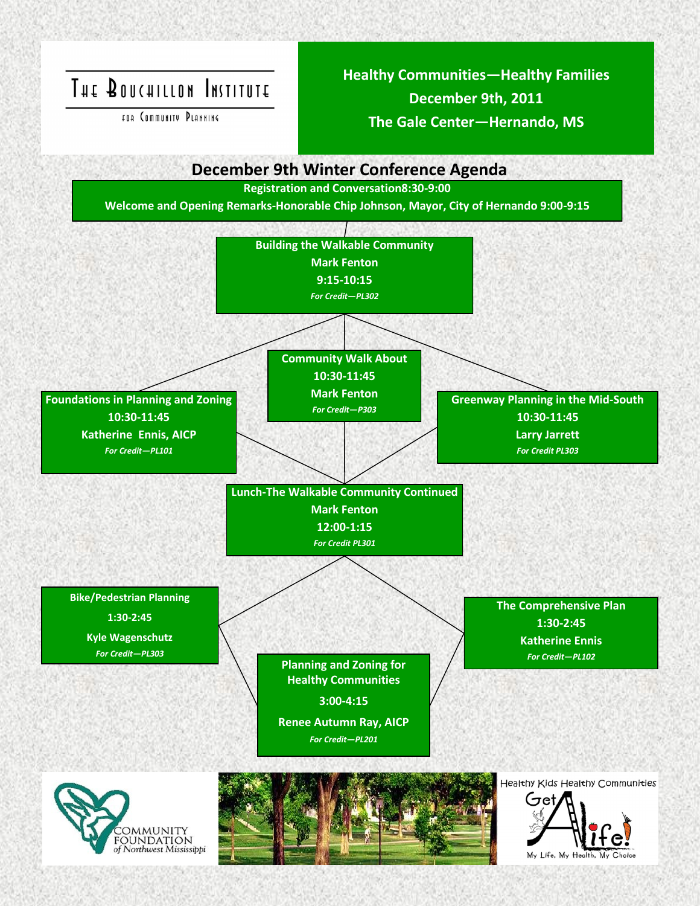FOR COMMUNITY PLANNING

**Healthy Communities—Healthy Families December 9th, 2011 The Gale Center—Hernando, MS**

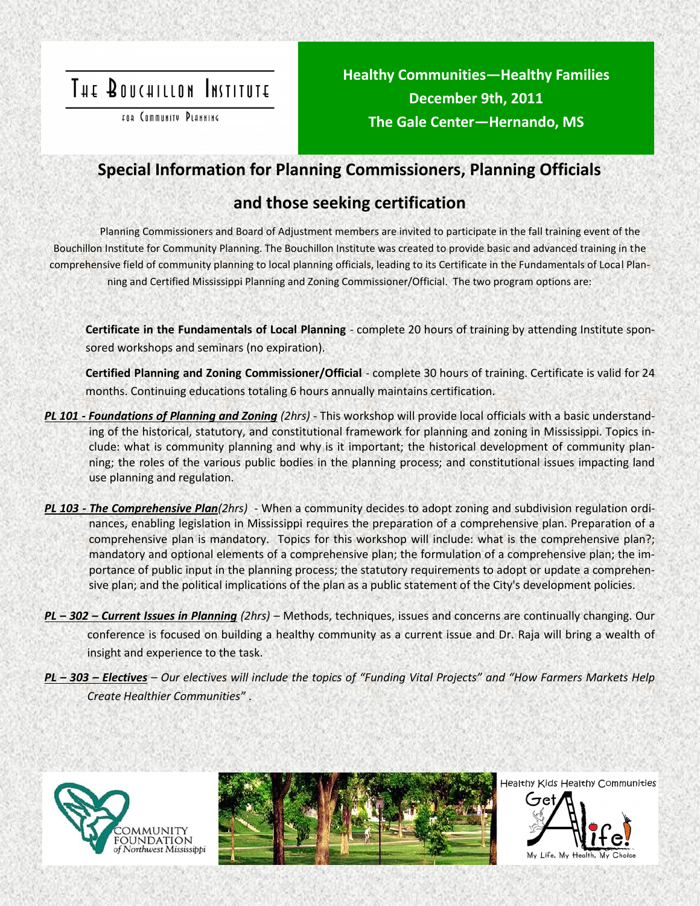**INA COMMUNITY PLANNING** 

**Healthy Communities—Healthy Families December 9th, 2011 The Gale Center—Hernando, MS**

## **Special Information for Planning Commissioners, Planning Officials**

### **and those seeking certification**

Planning Commissioners and Board of Adjustment members are invited to participate in the fall training event of the Bouchillon Institute for Community Planning. The Bouchillon Institute was created to provide basic and advanced training in the comprehensive field of community planning to local planning officials, leading to its Certificate in the Fundamentals of Local Planning and Certified Mississippi Planning and Zoning Commissioner/Official. The two program options are:

**Certificate in the Fundamentals of Local Planning** - complete 20 hours of training by attending Institute sponsored workshops and seminars (no expiration).

**Certified Planning and Zoning Commissioner/Official** - complete 30 hours of training. Certificate is valid for 24 months. Continuing educations totaling 6 hours annually maintains certification.

- *PL 101 - Foundations of Planning and Zoning (2hrs)*  This workshop will provide local officials with a basic understanding of the historical, statutory, and constitutional framework for planning and zoning in Mississippi. Topics include: what is community planning and why is it important; the historical development of community planning; the roles of the various public bodies in the planning process; and constitutional issues impacting land use planning and regulation.
- *PL 103 - The Comprehensive Plan(2hrs)*  When a community decides to adopt zoning and subdivision regulation ordinances, enabling legislation in Mississippi requires the preparation of a comprehensive plan. Preparation of a comprehensive plan is mandatory. Topics for this workshop will include: what is the comprehensive plan?; mandatory and optional elements of a comprehensive plan; the formulation of a comprehensive plan; the importance of public input in the planning process; the statutory requirements to adopt or update a comprehensive plan; and the political implications of the plan as a public statement of the City's development policies.
- *PL – 302 – Current Issues in Planning (2hrs) –* Methods, techniques, issues and concerns are continually changing. Our conference is focused on building a healthy community as a current issue and Dr. Raja will bring a wealth of insight and experience to the task.
- *PL – 303 – Electives – Our electives will include the topics of "Funding Vital Projects" and "How Farmers Markets Help Create Healthier Communities"* .

![](_page_2_Picture_12.jpeg)

![](_page_2_Picture_13.jpeg)

![](_page_2_Picture_14.jpeg)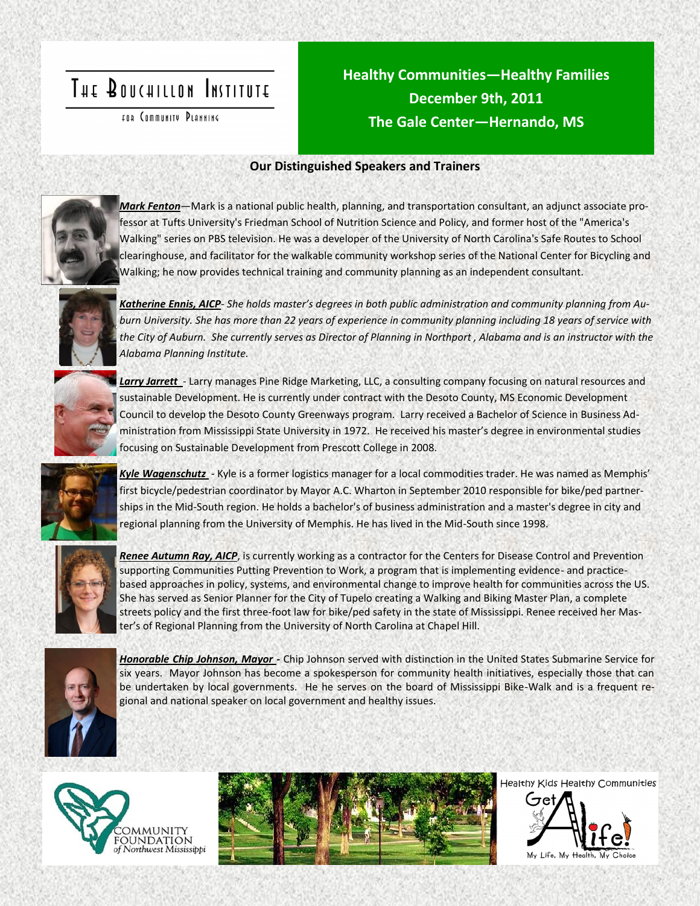**INA COMMUNITY PLANNING** 

**Healthy Communities—Healthy Families December 9th, 2011 The Gale Center—Hernando, MS**

#### **Our Distinguished Speakers and Trainers**

![](_page_3_Picture_4.jpeg)

*Mark Fenton*—Mark is a national public health, planning, and transportation consultant, an adjunct associate professor at Tufts University's Friedman School of Nutrition Science and Policy, and former host of the "America's Walking" series on PBS television. He was a developer of the University of North Carolina's Safe Routes to School clearinghouse, and facilitator for the walkable community workshop series of the National Center for Bicycling and Walking; he now provides technical training and community planning as an independent consultant.

![](_page_3_Picture_6.jpeg)

*Katherine Ennis, AICP- She holds master's degrees in both public administration and community planning from Auburn University. She has more than 22 years of experience in community planning including 18 years of service with the City of Auburn. She currently serves as Director of Planning in Northport , Alabama and is an instructor with the Alabama Planning Institute.*

![](_page_3_Picture_8.jpeg)

*Larry Jarrett* - Larry manages Pine Ridge Marketing, LLC, a consulting company focusing on natural resources and sustainable Development. He is currently under contract with the Desoto County, MS Economic Development Council to develop the Desoto County Greenways program. Larry received a Bachelor of Science in Business Administration from Mississippi State University in 1972. He received his master's degree in environmental studies focusing on Sustainable Development from Prescott College in 2008.

![](_page_3_Picture_10.jpeg)

*Kyle Wagenschutz* - Kyle is a former logistics manager for a local commodities trader. He was named as Memphis' first bicycle/pedestrian coordinator by Mayor A.C. Wharton in September 2010 responsible for bike/ped partnerships in the Mid-South region. He holds a bachelor's of business administration and a master's degree in city and regional planning from the University of Memphis. He has lived in the Mid-South since 1998.

![](_page_3_Picture_12.jpeg)

*Renee Autumn Ray, AICP*, is currently working as a contractor for the Centers for Disease Control and Prevention supporting Communities Putting Prevention to Work, a program that is implementing evidence- and practicebased approaches in policy, systems, and environmental change to improve health for communities across the US. She has served as Senior Planner for the City of Tupelo creating a Walking and Biking Master Plan, a complete streets policy and the first three-foot law for bike/ped safety in the state of Mississippi. Renee received her Master's of Regional Planning from the University of North Carolina at Chapel Hill.

![](_page_3_Picture_14.jpeg)

*Honorable Chip Johnson, Mayor -* Chip Johnson served with distinction in the United States Submarine Service for six years. Mayor Johnson has become a spokesperson for community health initiatives, especially those that can be undertaken by local governments. He he serves on the board of Mississippi Bike-Walk and is a frequent regional and national speaker on local government and healthy issues.

![](_page_3_Picture_16.jpeg)

![](_page_3_Picture_17.jpeg)

![](_page_3_Picture_18.jpeg)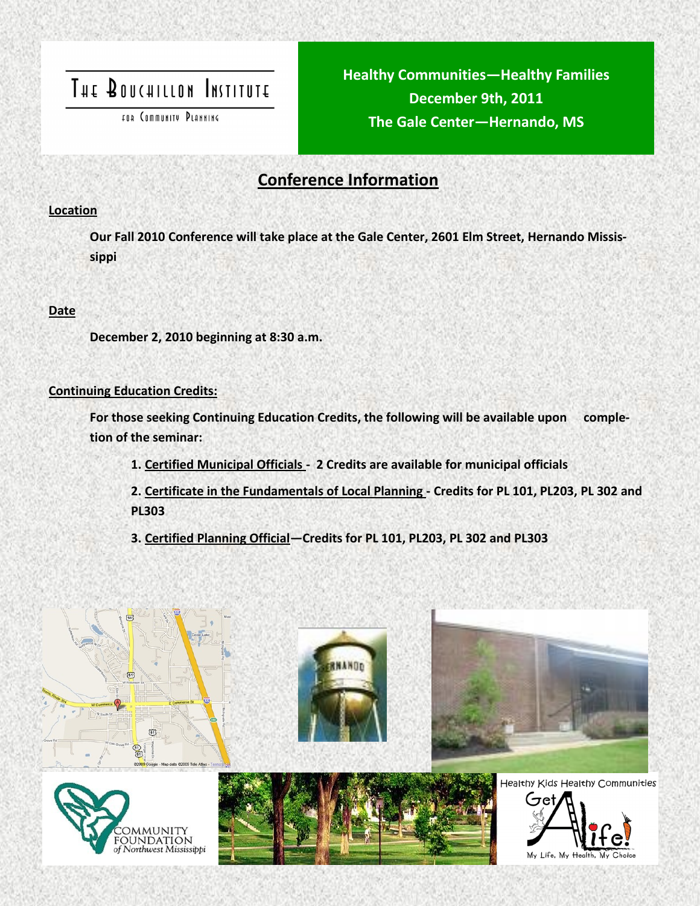FOR COMMUNITY PLANNING

**Healthy Communities—Healthy Families December 9th, 2011 The Gale Center—Hernando, MS**

### **Conference Information**

#### **Location**

**Our Fall 2010 Conference will take place at the Gale Center, 2601 Elm Street, Hernando Mississippi**

#### **Date**

**December 2, 2010 beginning at 8:30 a.m.** 

#### **Continuing Education Credits:**

**For those seeking Continuing Education Credits, the following will be available upon completion of the seminar:**

- **1. Certified Municipal Officials 2 Credits are available for municipal officials**
- **2. Certificate in the Fundamentals of Local Planning - Credits for PL 101, PL203, PL 302 and PL303**
- **3. Certified Planning Official—Credits for PL 101, PL203, PL 302 and PL303**

![](_page_4_Picture_13.jpeg)